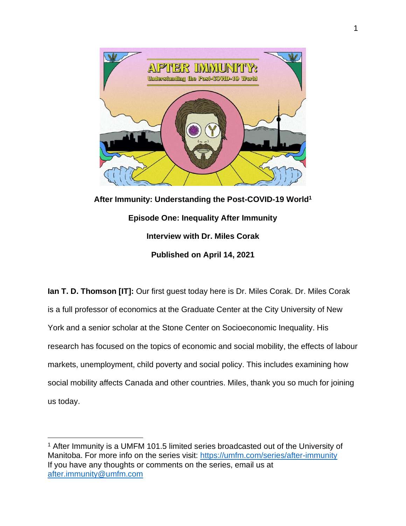

**After Immunity: Understanding the Post-COVID-19 World<sup>1</sup> Episode One: Inequality After Immunity Interview with Dr. Miles Corak Published on April 14, 2021**

**Ian T. D. Thomson [IT]:** Our first guest today here is Dr. Miles Corak. Dr. Miles Corak is a full professor of economics at the Graduate Center at the City University of New York and a senior scholar at the Stone Center on Socioeconomic Inequality. His research has focused on the topics of economic and social mobility, the effects of labour markets, unemployment, child poverty and social policy. This includes examining how social mobility affects Canada and other countries. Miles, thank you so much for joining us today.

<sup>1</sup> After Immunity is a UMFM 101.5 limited series broadcasted out of the University of Manitoba. For more info on the series visit:<https://umfm.com/series/after-immunity> If you have any thoughts or comments on the series, email us at [after.immunity@umfm.com](mailto:after.immunity@umfm.com)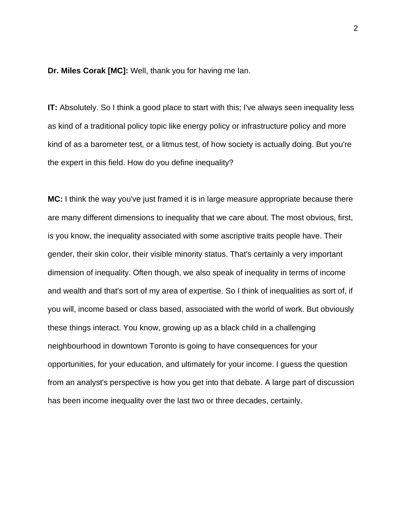**Dr. Miles Corak [MC]:** Well, thank you for having me Ian.

**IT:** Absolutely. So I think a good place to start with this; I've always seen inequality less as kind of a traditional policy topic like energy policy or infrastructure policy and more kind of as a barometer test, or a litmus test, of how society is actually doing. But you're the expert in this field. How do you define inequality?

**MC:** I think the way you've just framed it is in large measure appropriate because there are many different dimensions to inequality that we care about. The most obvious, first, is you know, the inequality associated with some ascriptive traits people have. Their gender, their skin color, their visible minority status. That's certainly a very important dimension of inequality. Often though, we also speak of inequality in terms of income and wealth and that's sort of my area of expertise. So I think of inequalities as sort of, if you will, income based or class based, associated with the world of work. But obviously these things interact. You know, growing up as a black child in a challenging neighbourhood in downtown Toronto is going to have consequences for your opportunities, for your education, and ultimately for your income. I guess the question from an analyst's perspective is how you get into that debate. A large part of discussion has been income inequality over the last two or three decades, certainly.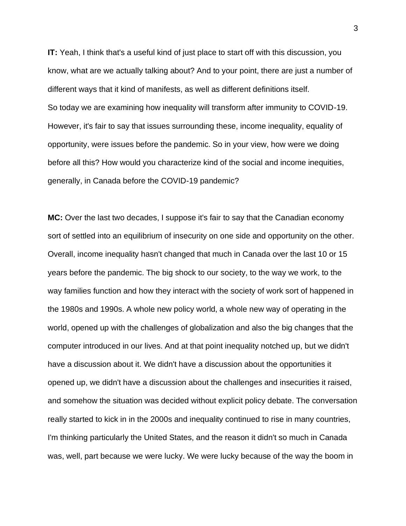**IT:** Yeah, I think that's a useful kind of just place to start off with this discussion, you know, what are we actually talking about? And to your point, there are just a number of different ways that it kind of manifests, as well as different definitions itself. So today we are examining how inequality will transform after immunity to COVID-19. However, it's fair to say that issues surrounding these, income inequality, equality of opportunity, were issues before the pandemic. So in your view, how were we doing before all this? How would you characterize kind of the social and income inequities, generally, in Canada before the COVID-19 pandemic?

**MC:** Over the last two decades, I suppose it's fair to say that the Canadian economy sort of settled into an equilibrium of insecurity on one side and opportunity on the other. Overall, income inequality hasn't changed that much in Canada over the last 10 or 15 years before the pandemic. The big shock to our society, to the way we work, to the way families function and how they interact with the society of work sort of happened in the 1980s and 1990s. A whole new policy world, a whole new way of operating in the world, opened up with the challenges of globalization and also the big changes that the computer introduced in our lives. And at that point inequality notched up, but we didn't have a discussion about it. We didn't have a discussion about the opportunities it opened up, we didn't have a discussion about the challenges and insecurities it raised, and somehow the situation was decided without explicit policy debate. The conversation really started to kick in in the 2000s and inequality continued to rise in many countries, I'm thinking particularly the United States, and the reason it didn't so much in Canada was, well, part because we were lucky. We were lucky because of the way the boom in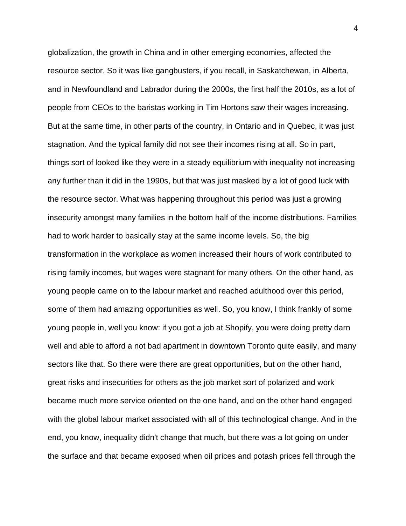globalization, the growth in China and in other emerging economies, affected the resource sector. So it was like gangbusters, if you recall, in Saskatchewan, in Alberta, and in Newfoundland and Labrador during the 2000s, the first half the 2010s, as a lot of people from CEOs to the baristas working in Tim Hortons saw their wages increasing. But at the same time, in other parts of the country, in Ontario and in Quebec, it was just stagnation. And the typical family did not see their incomes rising at all. So in part, things sort of looked like they were in a steady equilibrium with inequality not increasing any further than it did in the 1990s, but that was just masked by a lot of good luck with the resource sector. What was happening throughout this period was just a growing insecurity amongst many families in the bottom half of the income distributions. Families had to work harder to basically stay at the same income levels. So, the big transformation in the workplace as women increased their hours of work contributed to rising family incomes, but wages were stagnant for many others. On the other hand, as young people came on to the labour market and reached adulthood over this period, some of them had amazing opportunities as well. So, you know, I think frankly of some young people in, well you know: if you got a job at Shopify, you were doing pretty darn well and able to afford a not bad apartment in downtown Toronto quite easily, and many sectors like that. So there were there are great opportunities, but on the other hand, great risks and insecurities for others as the job market sort of polarized and work became much more service oriented on the one hand, and on the other hand engaged with the global labour market associated with all of this technological change. And in the end, you know, inequality didn't change that much, but there was a lot going on under the surface and that became exposed when oil prices and potash prices fell through the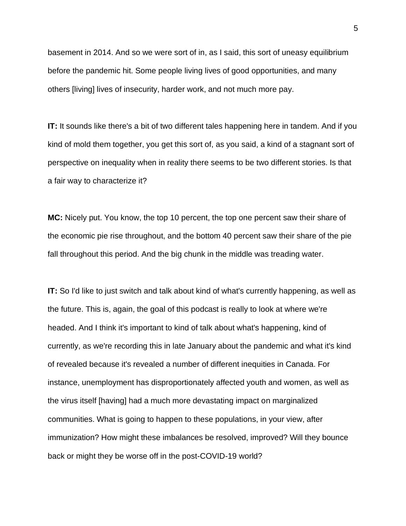basement in 2014. And so we were sort of in, as I said, this sort of uneasy equilibrium before the pandemic hit. Some people living lives of good opportunities, and many others [living] lives of insecurity, harder work, and not much more pay.

**IT:** It sounds like there's a bit of two different tales happening here in tandem. And if you kind of mold them together, you get this sort of, as you said, a kind of a stagnant sort of perspective on inequality when in reality there seems to be two different stories. Is that a fair way to characterize it?

**MC:** Nicely put. You know, the top 10 percent, the top one percent saw their share of the economic pie rise throughout, and the bottom 40 percent saw their share of the pie fall throughout this period. And the big chunk in the middle was treading water.

**IT:** So I'd like to just switch and talk about kind of what's currently happening, as well as the future. This is, again, the goal of this podcast is really to look at where we're headed. And I think it's important to kind of talk about what's happening, kind of currently, as we're recording this in late January about the pandemic and what it's kind of revealed because it's revealed a number of different inequities in Canada. For instance, unemployment has disproportionately affected youth and women, as well as the virus itself [having] had a much more devastating impact on marginalized communities. What is going to happen to these populations, in your view, after immunization? How might these imbalances be resolved, improved? Will they bounce back or might they be worse off in the post-COVID-19 world?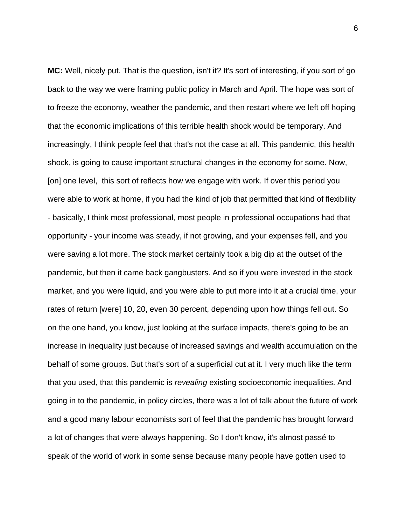**MC:** Well, nicely put. That is the question, isn't it? It's sort of interesting, if you sort of go back to the way we were framing public policy in March and April. The hope was sort of to freeze the economy, weather the pandemic, and then restart where we left off hoping that the economic implications of this terrible health shock would be temporary. And increasingly, I think people feel that that's not the case at all. This pandemic, this health shock, is going to cause important structural changes in the economy for some. Now, [on] one level, this sort of reflects how we engage with work. If over this period you were able to work at home, if you had the kind of job that permitted that kind of flexibility - basically, I think most professional, most people in professional occupations had that opportunity - your income was steady, if not growing, and your expenses fell, and you were saving a lot more. The stock market certainly took a big dip at the outset of the pandemic, but then it came back gangbusters. And so if you were invested in the stock market, and you were liquid, and you were able to put more into it at a crucial time, your rates of return [were] 10, 20, even 30 percent, depending upon how things fell out. So on the one hand, you know, just looking at the surface impacts, there's going to be an increase in inequality just because of increased savings and wealth accumulation on the behalf of some groups. But that's sort of a superficial cut at it. I very much like the term that you used, that this pandemic is *revealing* existing socioeconomic inequalities. And going in to the pandemic, in policy circles, there was a lot of talk about the future of work and a good many labour economists sort of feel that the pandemic has brought forward a lot of changes that were always happening. So I don't know, it's almost passé to speak of the world of work in some sense because many people have gotten used to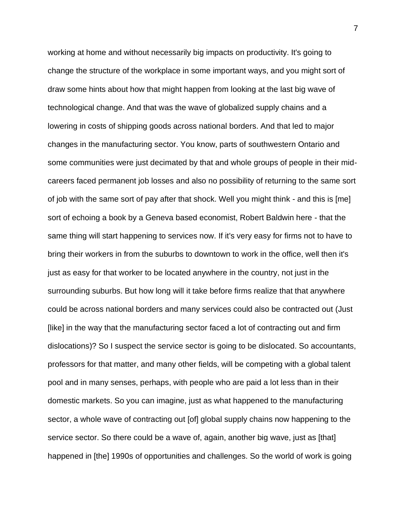working at home and without necessarily big impacts on productivity. It's going to change the structure of the workplace in some important ways, and you might sort of draw some hints about how that might happen from looking at the last big wave of technological change. And that was the wave of globalized supply chains and a lowering in costs of shipping goods across national borders. And that led to major changes in the manufacturing sector. You know, parts of southwestern Ontario and some communities were just decimated by that and whole groups of people in their midcareers faced permanent job losses and also no possibility of returning to the same sort of job with the same sort of pay after that shock. Well you might think - and this is [me] sort of echoing a book by a Geneva based economist, Robert Baldwin here - that the same thing will start happening to services now. If it's very easy for firms not to have to bring their workers in from the suburbs to downtown to work in the office, well then it's just as easy for that worker to be located anywhere in the country, not just in the surrounding suburbs. But how long will it take before firms realize that that anywhere could be across national borders and many services could also be contracted out (Just [like] in the way that the manufacturing sector faced a lot of contracting out and firm dislocations)? So I suspect the service sector is going to be dislocated. So accountants, professors for that matter, and many other fields, will be competing with a global talent pool and in many senses, perhaps, with people who are paid a lot less than in their domestic markets. So you can imagine, just as what happened to the manufacturing sector, a whole wave of contracting out [of] global supply chains now happening to the service sector. So there could be a wave of, again, another big wave, just as [that] happened in [the] 1990s of opportunities and challenges. So the world of work is going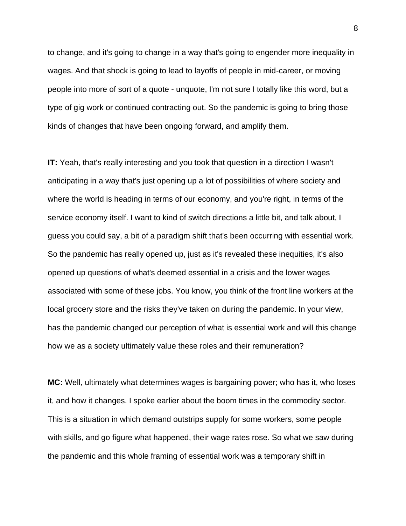to change, and it's going to change in a way that's going to engender more inequality in wages. And that shock is going to lead to layoffs of people in mid-career, or moving people into more of sort of a quote - unquote, I'm not sure I totally like this word, but a type of gig work or continued contracting out. So the pandemic is going to bring those kinds of changes that have been ongoing forward, and amplify them.

**IT:** Yeah, that's really interesting and you took that question in a direction I wasn't anticipating in a way that's just opening up a lot of possibilities of where society and where the world is heading in terms of our economy, and you're right, in terms of the service economy itself. I want to kind of switch directions a little bit, and talk about, I guess you could say, a bit of a paradigm shift that's been occurring with essential work. So the pandemic has really opened up, just as it's revealed these inequities, it's also opened up questions of what's deemed essential in a crisis and the lower wages associated with some of these jobs. You know, you think of the front line workers at the local grocery store and the risks they've taken on during the pandemic. In your view, has the pandemic changed our perception of what is essential work and will this change how we as a society ultimately value these roles and their remuneration?

**MC:** Well, ultimately what determines wages is bargaining power; who has it, who loses it, and how it changes. I spoke earlier about the boom times in the commodity sector. This is a situation in which demand outstrips supply for some workers, some people with skills, and go figure what happened, their wage rates rose. So what we saw during the pandemic and this whole framing of essential work was a temporary shift in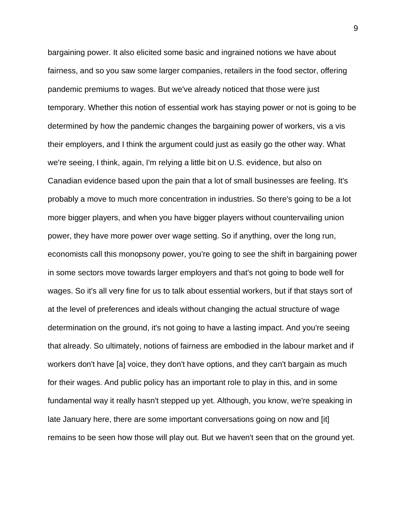bargaining power. It also elicited some basic and ingrained notions we have about fairness, and so you saw some larger companies, retailers in the food sector, offering pandemic premiums to wages. But we've already noticed that those were just temporary. Whether this notion of essential work has staying power or not is going to be determined by how the pandemic changes the bargaining power of workers, vis a vis their employers, and I think the argument could just as easily go the other way. What we're seeing, I think, again, I'm relying a little bit on U.S. evidence, but also on Canadian evidence based upon the pain that a lot of small businesses are feeling. It's probably a move to much more concentration in industries. So there's going to be a lot more bigger players, and when you have bigger players without countervailing union power, they have more power over wage setting. So if anything, over the long run, economists call this monopsony power, you're going to see the shift in bargaining power in some sectors move towards larger employers and that's not going to bode well for wages. So it's all very fine for us to talk about essential workers, but if that stays sort of at the level of preferences and ideals without changing the actual structure of wage determination on the ground, it's not going to have a lasting impact. And you're seeing that already. So ultimately, notions of fairness are embodied in the labour market and if workers don't have [a] voice, they don't have options, and they can't bargain as much for their wages. And public policy has an important role to play in this, and in some fundamental way it really hasn't stepped up yet. Although, you know, we're speaking in late January here, there are some important conversations going on now and [it] remains to be seen how those will play out. But we haven't seen that on the ground yet.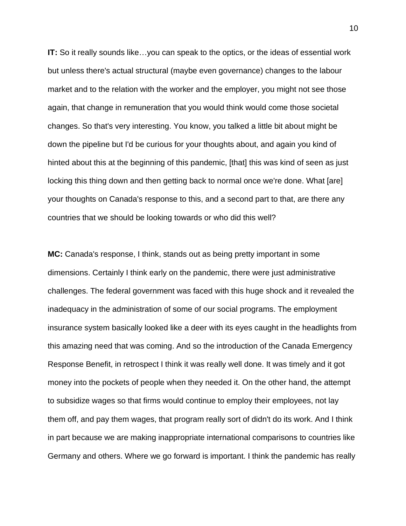**IT:** So it really sounds like…you can speak to the optics, or the ideas of essential work but unless there's actual structural (maybe even governance) changes to the labour market and to the relation with the worker and the employer, you might not see those again, that change in remuneration that you would think would come those societal changes. So that's very interesting. You know, you talked a little bit about might be down the pipeline but I'd be curious for your thoughts about, and again you kind of hinted about this at the beginning of this pandemic, [that] this was kind of seen as just locking this thing down and then getting back to normal once we're done. What [are] your thoughts on Canada's response to this, and a second part to that, are there any countries that we should be looking towards or who did this well?

**MC:** Canada's response, I think, stands out as being pretty important in some dimensions. Certainly I think early on the pandemic, there were just administrative challenges. The federal government was faced with this huge shock and it revealed the inadequacy in the administration of some of our social programs. The employment insurance system basically looked like a deer with its eyes caught in the headlights from this amazing need that was coming. And so the introduction of the Canada Emergency Response Benefit, in retrospect I think it was really well done. It was timely and it got money into the pockets of people when they needed it. On the other hand, the attempt to subsidize wages so that firms would continue to employ their employees, not lay them off, and pay them wages, that program really sort of didn't do its work. And I think in part because we are making inappropriate international comparisons to countries like Germany and others. Where we go forward is important. I think the pandemic has really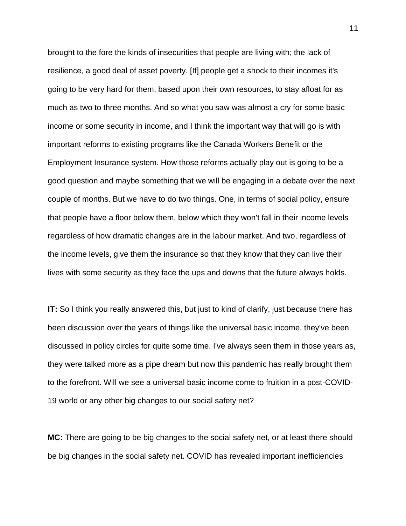brought to the fore the kinds of insecurities that people are living with; the lack of resilience, a good deal of asset poverty. [If] people get a shock to their incomes it's going to be very hard for them, based upon their own resources, to stay afloat for as much as two to three months. And so what you saw was almost a cry for some basic income or some security in income, and I think the important way that will go is with important reforms to existing programs like the Canada Workers Benefit or the Employment Insurance system. How those reforms actually play out is going to be a good question and maybe something that we will be engaging in a debate over the next couple of months. But we have to do two things. One, in terms of social policy, ensure that people have a floor below them, below which they won't fall in their income levels regardless of how dramatic changes are in the labour market. And two, regardless of the income levels, give them the insurance so that they know that they can live their lives with some security as they face the ups and downs that the future always holds.

**IT:** So I think you really answered this, but just to kind of clarify, just because there has been discussion over the years of things like the universal basic income, they've been discussed in policy circles for quite some time. I've always seen them in those years as, they were talked more as a pipe dream but now this pandemic has really brought them to the forefront. Will we see a universal basic income come to fruition in a post-COVID-19 world or any other big changes to our social safety net?

**MC:** There are going to be big changes to the social safety net, or at least there should be big changes in the social safety net. COVID has revealed important inefficiencies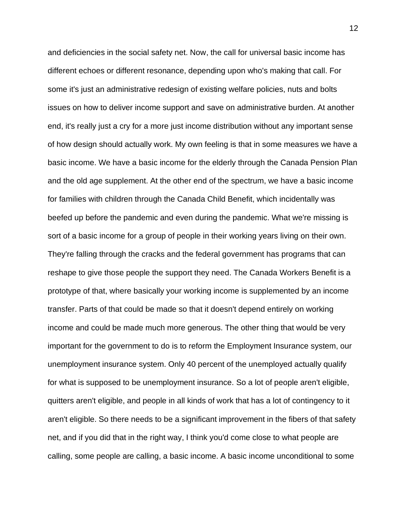and deficiencies in the social safety net. Now, the call for universal basic income has different echoes or different resonance, depending upon who's making that call. For some it's just an administrative redesign of existing welfare policies, nuts and bolts issues on how to deliver income support and save on administrative burden. At another end, it's really just a cry for a more just income distribution without any important sense of how design should actually work. My own feeling is that in some measures we have a basic income. We have a basic income for the elderly through the Canada Pension Plan and the old age supplement. At the other end of the spectrum, we have a basic income for families with children through the Canada Child Benefit, which incidentally was beefed up before the pandemic and even during the pandemic. What we're missing is sort of a basic income for a group of people in their working years living on their own. They're falling through the cracks and the federal government has programs that can reshape to give those people the support they need. The Canada Workers Benefit is a prototype of that, where basically your working income is supplemented by an income transfer. Parts of that could be made so that it doesn't depend entirely on working income and could be made much more generous. The other thing that would be very important for the government to do is to reform the Employment Insurance system, our unemployment insurance system. Only 40 percent of the unemployed actually qualify for what is supposed to be unemployment insurance. So a lot of people aren't eligible, quitters aren't eligible, and people in all kinds of work that has a lot of contingency to it aren't eligible. So there needs to be a significant improvement in the fibers of that safety net, and if you did that in the right way, I think you'd come close to what people are calling, some people are calling, a basic income. A basic income unconditional to some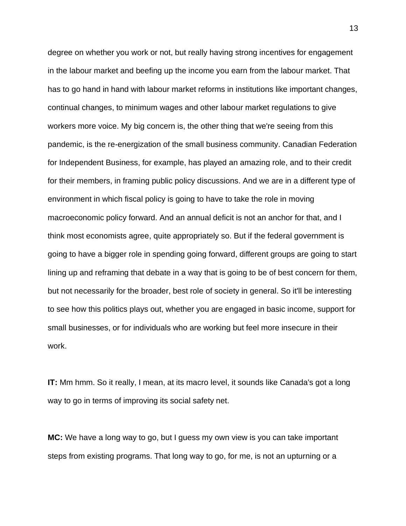degree on whether you work or not, but really having strong incentives for engagement in the labour market and beefing up the income you earn from the labour market. That has to go hand in hand with labour market reforms in institutions like important changes, continual changes, to minimum wages and other labour market regulations to give workers more voice. My big concern is, the other thing that we're seeing from this pandemic, is the re-energization of the small business community. Canadian Federation for Independent Business, for example, has played an amazing role, and to their credit for their members, in framing public policy discussions. And we are in a different type of environment in which fiscal policy is going to have to take the role in moving macroeconomic policy forward. And an annual deficit is not an anchor for that, and I think most economists agree, quite appropriately so. But if the federal government is going to have a bigger role in spending going forward, different groups are going to start lining up and reframing that debate in a way that is going to be of best concern for them, but not necessarily for the broader, best role of society in general. So it'll be interesting to see how this politics plays out, whether you are engaged in basic income, support for small businesses, or for individuals who are working but feel more insecure in their work.

**IT:** Mm hmm. So it really, I mean, at its macro level, it sounds like Canada's got a long way to go in terms of improving its social safety net.

**MC:** We have a long way to go, but I guess my own view is you can take important steps from existing programs. That long way to go, for me, is not an upturning or a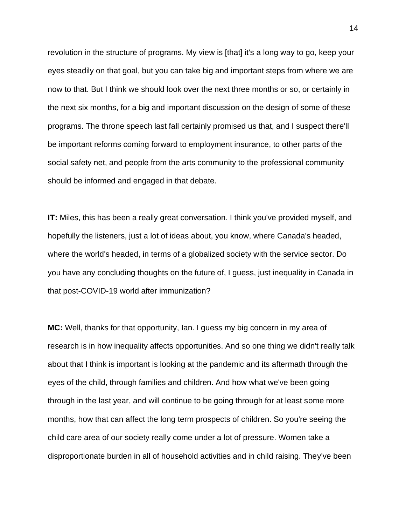revolution in the structure of programs. My view is [that] it's a long way to go, keep your eyes steadily on that goal, but you can take big and important steps from where we are now to that. But I think we should look over the next three months or so, or certainly in the next six months, for a big and important discussion on the design of some of these programs. The throne speech last fall certainly promised us that, and I suspect there'll be important reforms coming forward to employment insurance, to other parts of the social safety net, and people from the arts community to the professional community should be informed and engaged in that debate.

**IT:** Miles, this has been a really great conversation. I think you've provided myself, and hopefully the listeners, just a lot of ideas about, you know, where Canada's headed, where the world's headed, in terms of a globalized society with the service sector. Do you have any concluding thoughts on the future of, I guess, just inequality in Canada in that post-COVID-19 world after immunization?

**MC:** Well, thanks for that opportunity, Ian. I guess my big concern in my area of research is in how inequality affects opportunities. And so one thing we didn't really talk about that I think is important is looking at the pandemic and its aftermath through the eyes of the child, through families and children. And how what we've been going through in the last year, and will continue to be going through for at least some more months, how that can affect the long term prospects of children. So you're seeing the child care area of our society really come under a lot of pressure. Women take a disproportionate burden in all of household activities and in child raising. They've been